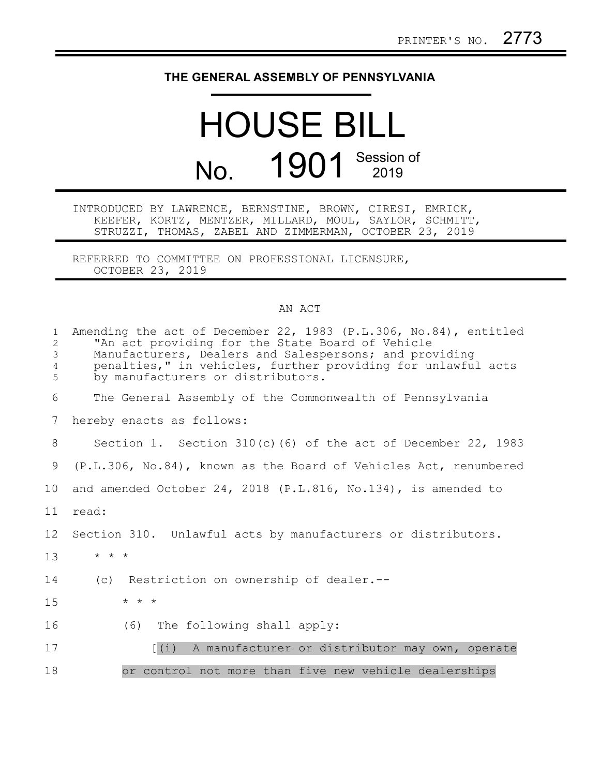## **THE GENERAL ASSEMBLY OF PENNSYLVANIA**

## HOUSE BILL No. 1901 Session of

INTRODUCED BY LAWRENCE, BERNSTINE, BROWN, CIRESI, EMRICK, KEEFER, KORTZ, MENTZER, MILLARD, MOUL, SAYLOR, SCHMITT, STRUZZI, THOMAS, ZABEL AND ZIMMERMAN, OCTOBER 23, 2019

REFERRED TO COMMITTEE ON PROFESSIONAL LICENSURE, OCTOBER 23, 2019

## AN ACT

| 1<br>2<br>3<br>4<br>5 | Amending the act of December 22, 1983 (P.L.306, No.84), entitled<br>"An act providing for the State Board of Vehicle<br>Manufacturers, Dealers and Salespersons; and providing<br>penalties," in vehicles, further providing for unlawful acts<br>by manufacturers or distributors. |
|-----------------------|-------------------------------------------------------------------------------------------------------------------------------------------------------------------------------------------------------------------------------------------------------------------------------------|
| 6                     | The General Assembly of the Commonwealth of Pennsylvania                                                                                                                                                                                                                            |
| 7                     | hereby enacts as follows:                                                                                                                                                                                                                                                           |
| 8                     | Section 1. Section $310(c)$ (6) of the act of December 22, 1983                                                                                                                                                                                                                     |
| 9                     | (P.L.306, No.84), known as the Board of Vehicles Act, renumbered                                                                                                                                                                                                                    |
| 10 <sub>o</sub>       | and amended October 24, 2018 (P.L.816, No.134), is amended to                                                                                                                                                                                                                       |
| 11                    | read:                                                                                                                                                                                                                                                                               |
| 12                    | Section 310. Unlawful acts by manufacturers or distributors.                                                                                                                                                                                                                        |
| 13                    | $\star$ $\star$ $\star$                                                                                                                                                                                                                                                             |
| 14                    | (c) Restriction on ownership of dealer.--                                                                                                                                                                                                                                           |
| 15                    | $\star$ $\star$ $\star$                                                                                                                                                                                                                                                             |
| 16                    | (6) The following shall apply:                                                                                                                                                                                                                                                      |
| 17                    | $(\bot)$<br>A manufacturer or distributor may own, operate                                                                                                                                                                                                                          |
| 18                    | or control not more than five new vehicle dealerships                                                                                                                                                                                                                               |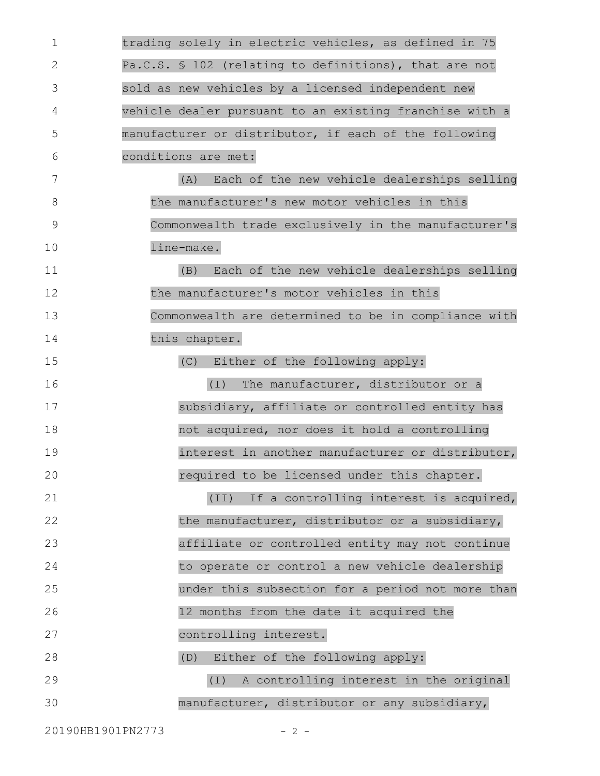| 1                 | trading solely in electric vehicles, as defined in 75   |
|-------------------|---------------------------------------------------------|
| 2                 | Pa.C.S. § 102 (relating to definitions), that are not   |
| 3                 | sold as new vehicles by a licensed independent new      |
| 4                 | vehicle dealer pursuant to an existing franchise with a |
| 5                 | manufacturer or distributor, if each of the following   |
| 6                 | conditions are met:                                     |
| 7                 | (A) Each of the new vehicle dealerships selling         |
| 8                 | the manufacturer's new motor vehicles in this           |
| 9                 | Commonwealth trade exclusively in the manufacturer's    |
| 10                | line-make.                                              |
| 11                | Each of the new vehicle dealerships selling<br>(B)      |
| 12                | the manufacturer's motor vehicles in this               |
| 13                | Commonwealth are determined to be in compliance with    |
| 14                | this chapter.                                           |
| 15                | (C) Either of the following apply:                      |
| 16                | The manufacturer, distributor or a<br>(I)               |
| 17                | subsidiary, affiliate or controlled entity has          |
| 18                | not acquired, nor does it hold a controlling            |
| 19                | interest in another manufacturer or distributor,        |
| 20                | required to be licensed under this chapter.             |
| 21                | If a controlling interest is acquired,<br>(II)          |
| 22                | the manufacturer, distributor or a subsidiary,          |
| 23                | affiliate or controlled entity may not continue         |
| 24                | to operate or control a new vehicle dealership          |
| 25                | under this subsection for a period not more than        |
| 26                | 12 months from the date it acquired the                 |
| 27                | controlling interest.                                   |
| 28                | Either of the following apply:<br>(D)                   |
| 29                | A controlling interest in the original<br>(I)           |
| 30                | manufacturer, distributor or any subsidiary,            |
| 20190HB1901PN2773 | $-2-$                                                   |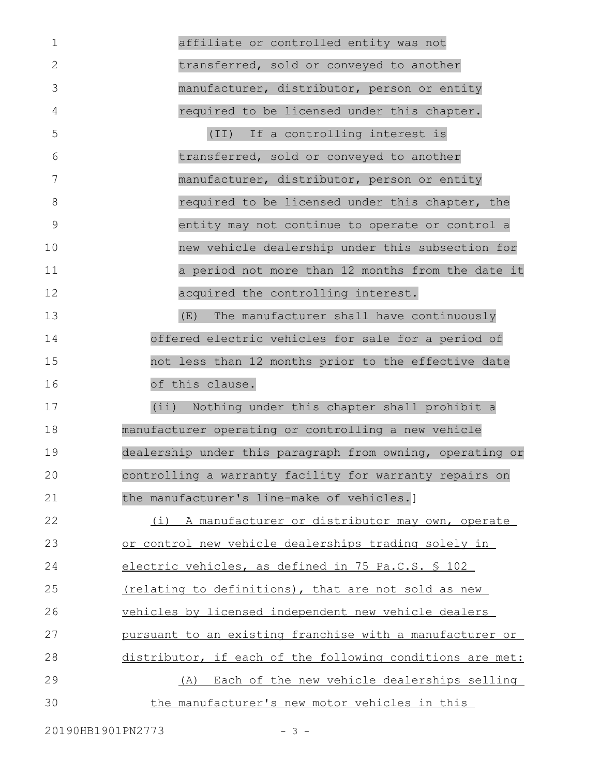affiliate or controlled entity was not transferred, sold or conveyed to another manufacturer, distributor, person or entity required to be licensed under this chapter. (II) If a controlling interest is transferred, sold or conveyed to another manufacturer, distributor, person or entity required to be licensed under this chapter, the entity may not continue to operate or control a new vehicle dealership under this subsection for a period not more than 12 months from the date it acquired the controlling interest. (E) The manufacturer shall have continuously offered electric vehicles for sale for a period of not less than 12 months prior to the effective date of this clause. (ii) Nothing under this chapter shall prohibit a manufacturer operating or controlling a new vehicle dealership under this paragraph from owning, operating or controlling a warranty facility for warranty repairs on the manufacturer's line-make of vehicles.] (i) A manufacturer or distributor may own, operate or control new vehicle dealerships trading solely in electric vehicles, as defined in 75 Pa.C.S. § 102 (relating to definitions), that are not sold as new vehicles by licensed independent new vehicle dealers pursuant to an existing franchise with a manufacturer or distributor, if each of the following conditions are met: (A) Each of the new vehicle dealerships selling the manufacturer's new motor vehicles in this 1 2 3 4 5 6 7 8 9 10 11 12 13 14 15 16 17 18 19 20 21 22 23 24 25 26 27 28 29 30

20190HB1901PN2773 - 3-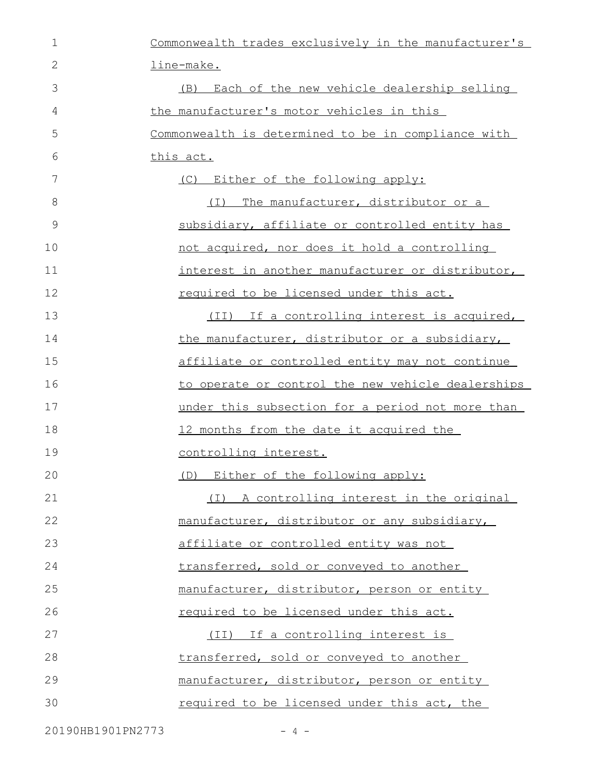| $\mathbf 1$   | Commonwealth trades exclusively in the manufacturer's |
|---------------|-------------------------------------------------------|
| $\mathbf{2}$  | line-make.                                            |
| 3             | (B) Each of the new vehicle dealership selling        |
| 4             | the manufacturer's motor vehicles in this             |
| 5             | Commonwealth is determined to be in compliance with   |
| 6             | this act.                                             |
| 7             | (C) Either of the following apply:                    |
| 8             | The manufacturer, distributor or a<br>( I )           |
| $\mathcal{G}$ | subsidiary, affiliate or controlled entity has        |
| 10            | not acquired, nor does it hold a controlling          |
| 11            | interest in another manufacturer or distributor,      |
| 12            | required to be licensed under this act.               |
| 13            | If a controlling interest is acquired,<br>(TI)        |
| 14            | the manufacturer, distributor or a subsidiary,        |
| 15            | affiliate or controlled entity may not continue       |
| 16            | to operate or control the new vehicle dealerships     |
| 17            | under this subsection for a period not more than      |
| 18            | 12 months from the date it acquired the               |
| 19            | controlling interest.                                 |
| 20            | Either of the following apply:<br>(D)                 |
| 21            | (I) A controlling interest in the original            |
| 22            | manufacturer, distributor or any subsidiary,          |
| 23            | affiliate or controlled entity was not                |
| 24            | transferred, sold or conveyed to another              |
| 25            | manufacturer, distributor, person or entity           |
| 26            | required to be licensed under this act.               |
| 27            | (II) If a controlling interest is                     |
| 28            | transferred, sold or conveyed to another              |
| 29            | manufacturer, distributor, person or entity           |
| 30            | required to be licensed under this act, the           |